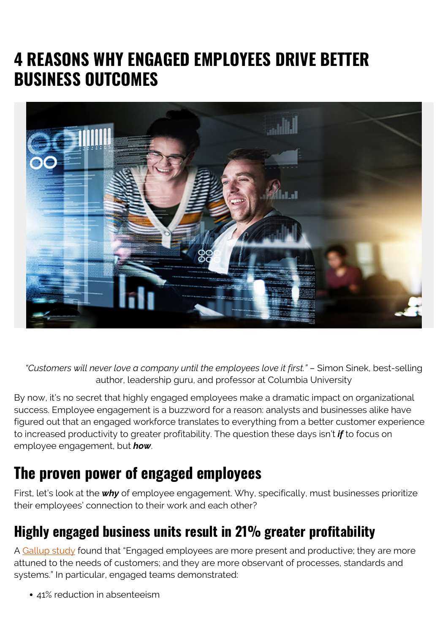# **4 REASONS WHY ENGAGED EMPLOYEES DRIVE BETTER BUSINESS OUTCOMES**



*"Customers will never love a company until the employees love it first."* – Simon Sinek, best-selling author, leadership guru, and professor at Columbia University

By now, it's no secret that highly engaged employees make a dramatic impact on organizational success. Employee engagement is a buzzword for a reason: analysts and businesses alike have figured out that an engaged workforce translates to everything from a better customer experience to increased productivity to greater profitability. The question these days isn't *if* to focus on employee engagement, but *how*.

### **The proven power of engaged employees**

First, let's look at the *why* of employee engagement. Why, specifically, must businesses prioritize their employees' connection to their work and each other?

#### **Highly engaged business units result in 21% greater profitability**

A [Gallup study](https://www.gallup.com/workplace/236366/right-culture-not-employee-satisfaction.aspx) found that "Engaged employees are more present and productive; they are more attuned to the needs of customers; and they are more observant of processes, standards and systems." In particular, engaged teams demonstrated:

41% reduction in absenteeism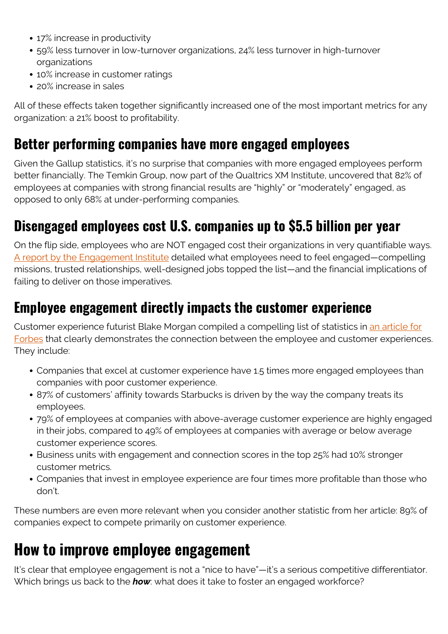- 17% increase in productivity
- 59% less turnover in low-turnover organizations, 24% less turnover in high-turnover organizations
- 10% increase in customer ratings
- 20% increase in sales

All of these effects taken together significantly increased one of the most important metrics for any organization: a 21% boost to profitability.

#### **Better performing companies have more engaged employees**

Given the Gallup statistics, it's no surprise that companies with more engaged employees perform better financially. The Temkin Group, now part of the Qualtrics XM Institute, uncovered that 82% of employees at companies with strong financial results are "highly" or "moderately" engaged, as opposed to only 68% at under-performing companies.

### **Disengaged employees cost U.S. companies up to \$5.5 billion per year**

On the flip side, employees who are NOT engaged cost their organizations in very quantifiable ways. [A report by the Engagement Institute](https://www.hrdive.com/news/study-disengaged-employees-can-cost-companies-up-to-550b-a-year/437606/) detailed what employees need to feel engaged—compelling missions, trusted relationships, well-designed jobs topped the list—and the financial implications of failing to deliver on those imperatives.

#### **Employee engagement directly impacts the customer experience**

Customer experience futurist Blake Morgan compiled a compelling list of statistics in [an article for](https://www.forbes.com/sites/blakemorgan/2018/02/23/the-un-ignorable-link-between-employee-experience-and-customer-experience/#41b3b25448dc) [Forbes](https://www.forbes.com/sites/blakemorgan/2018/02/23/the-un-ignorable-link-between-employee-experience-and-customer-experience/#41b3b25448dc) that clearly demonstrates the connection between the employee and customer experiences. They include:

- Companies that excel at customer experience have 1.5 times more engaged employees than companies with poor customer experience.
- 87% of customers' affinity towards Starbucks is driven by the way the company treats its employees.
- 79% of employees at companies with above-average customer experience are highly engaged in their jobs, compared to 49% of employees at companies with average or below average customer experience scores.
- Business units with engagement and connection scores in the top 25% had 10% stronger customer metrics.
- Companies that invest in employee experience are four times more profitable than those who don't.

These numbers are even more relevant when you consider another statistic from her article: 89% of companies expect to compete primarily on customer experience.

## **How to improve employee engagement**

It's clear that employee engagement is not a "nice to have"—it's a serious competitive differentiator. Which brings us back to the *how*: what does it take to foster an engaged workforce?